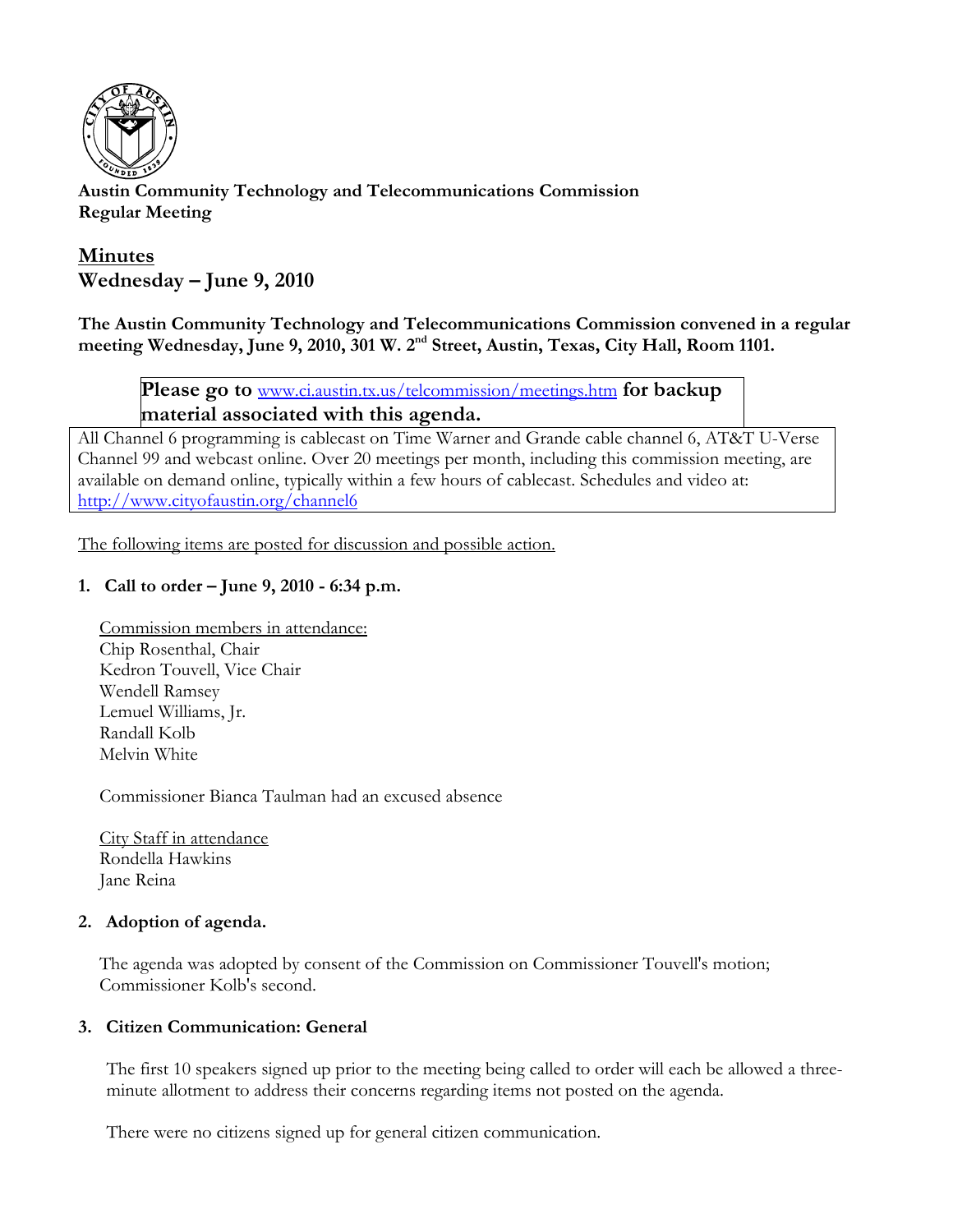

**Austin Community Technology and Telecommunications Commission Regular Meeting** 

# **Minutes Wednesday – June 9, 2010**

**The Austin Community Technology and Telecommunications Commission convened in a regular**  meeting Wednesday, June 9, 2010, 301 W. 2<sup>nd</sup> Street, Austin, Texas, City Hall, Room 1101.

**Please go to** www.ci.austin.tx.us/telcommission/meetings.htm **for backup material associated with this agenda.** 

All Channel 6 programming is cablecast on Time Warner and Grande cable channel 6, AT&T U-Verse Channel 99 and webcast online. Over 20 meetings per month, including this commission meeting, are available on demand online, typically within a few hours of cablecast. Schedules and video at: http://www.cityofaustin.org/channel6

The following items are posted for discussion and possible action.

## **1. Call to order – June 9, 2010 - 6:34 p.m.**

Commission members in attendance: Chip Rosenthal, Chair Kedron Touvell, Vice Chair Wendell Ramsey Lemuel Williams, Jr. Randall Kolb Melvin White

Commissioner Bianca Taulman had an excused absence

City Staff in attendance Rondella Hawkins Jane Reina

#### **2. Adoption of agenda.**

The agenda was adopted by consent of the Commission on Commissioner Touvell's motion; Commissioner Kolb's second.

#### **3. Citizen Communication: General**

The first 10 speakers signed up prior to the meeting being called to order will each be allowed a threeminute allotment to address their concerns regarding items not posted on the agenda.

There were no citizens signed up for general citizen communication.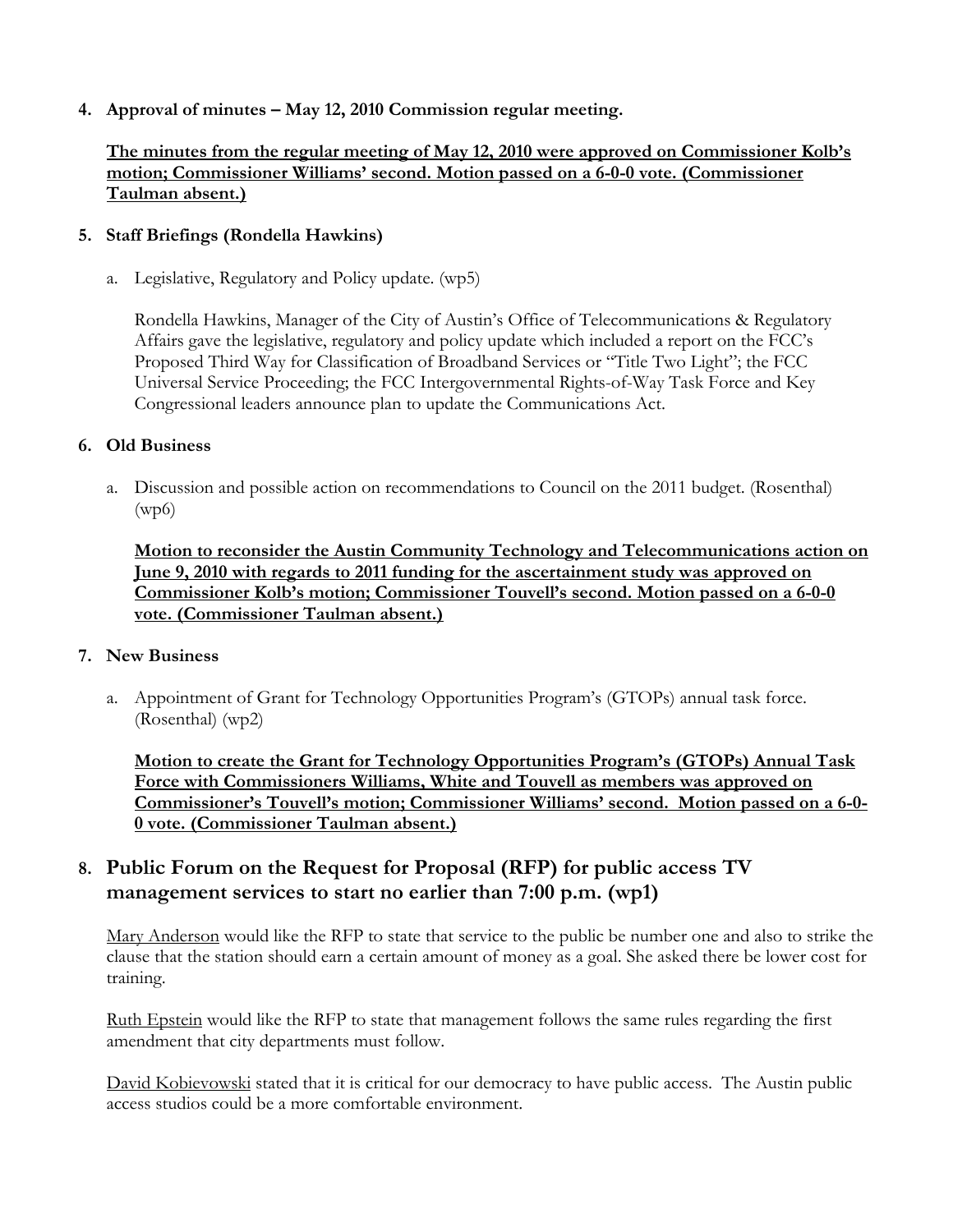## **4. Approval of minutes – May 12, 2010 Commission regular meeting.**

## **The minutes from the regular meeting of May 12, 2010 were approved on Commissioner Kolb's motion; Commissioner Williams' second. Motion passed on a 6-0-0 vote. (Commissioner Taulman absent.)**

#### **5. Staff Briefings (Rondella Hawkins)**

a. Legislative, Regulatory and Policy update. (wp5)

Rondella Hawkins, Manager of the City of Austin's Office of Telecommunications & Regulatory Affairs gave the legislative, regulatory and policy update which included a report on the FCC's Proposed Third Way for Classification of Broadband Services or "Title Two Light"; the FCC Universal Service Proceeding; the FCC Intergovernmental Rights-of-Way Task Force and Key Congressional leaders announce plan to update the Communications Act.

## **6. Old Business**

a. Discussion and possible action on recommendations to Council on the 2011 budget. (Rosenthal)  $(wp6)$ 

**Motion to reconsider the Austin Community Technology and Telecommunications action on June 9, 2010 with regards to 2011 funding for the ascertainment study was approved on Commissioner Kolb's motion; Commissioner Touvell's second. Motion passed on a 6-0-0 vote. (Commissioner Taulman absent.)**

#### **7. New Business**

a. Appointment of Grant for Technology Opportunities Program's (GTOPs) annual task force. (Rosenthal) (wp2)

**Motion to create the Grant for Technology Opportunities Program's (GTOPs) Annual Task Force with Commissioners Williams, White and Touvell as members was approved on Commissioner's Touvell's motion; Commissioner Williams' second. Motion passed on a 6-0- 0 vote. (Commissioner Taulman absent.)**

## **8. Public Forum on the Request for Proposal (RFP) for public access TV management services to start no earlier than 7:00 p.m. (wp1)**

Mary Anderson would like the RFP to state that service to the public be number one and also to strike the clause that the station should earn a certain amount of money as a goal. She asked there be lower cost for training.

Ruth Epstein would like the RFP to state that management follows the same rules regarding the first amendment that city departments must follow.

David Kobievowski stated that it is critical for our democracy to have public access. The Austin public access studios could be a more comfortable environment.